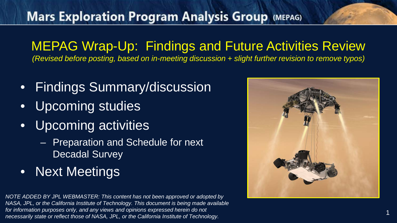MEPAG Wrap-Up: Findings and Future Activities Review *(Revised before posting, based on in-meeting discussion + slight further revision to remove typos)*

- Findings Summary/discussion
- Upcoming studies
- Upcoming activities
	- Preparation and Schedule for next Decadal Survey
- Next Meetings

*NOTE ADDED BY JPL WEBMASTER: This content has not been approved or adopted by NASA, JPL, or the California Institute of Technology. This document is being made available for information purposes only, and any views and opinions expressed herein do not necessarily state or reflect those of NASA, JPL, or the California Institute of Technology.*



1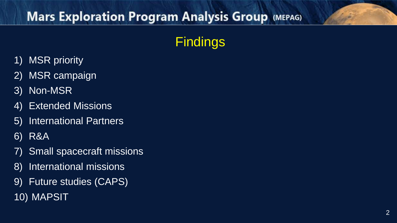**Findings** 

- 1) MSR priority
- 2) MSR campaign
- 3) Non -MSR
- 4) Extended Missions
- 5) International Partners
- 6) R&A
- 7) Small spacecraft missions
- 8) International missions
- 9) Future studies (CAPS) 10) MAPSIT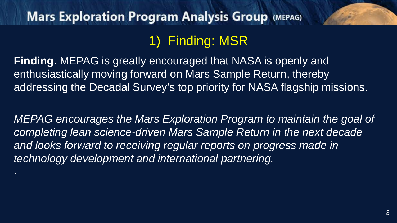# 1) Finding: MSR

**Finding**. MEPAG is greatly encouraged that NASA is openly and enthusiastically moving forward on Mars Sample Return, thereby addressing the Decadal Survey's top priority for NASA flagship missions.

*MEPAG encourages the Mars Exploration Program to maintain the goal of completing lean science-driven Mars Sample Return in the next decade and looks forward to receiving regular reports on progress made in technology development and international partnering.*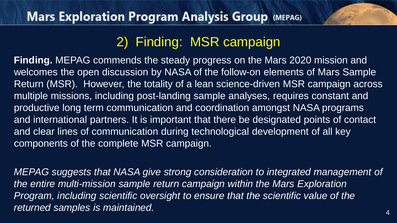## 2) Finding: MSR campaign

**Finding.** MEPAG commends the steady progress on the Mars 2020 mission and welcomes the open discussion by NASA of the follow-on elements of Mars Sample Return (MSR). However, the totality of a lean science-driven MSR campaign across multiple missions, including post-landing sample analyses, requires constant and productive long term communication and coordination amongst NASA programs and international partners. It is important that there be designated points of contact and clear lines of communication during technological development of all key components of the complete MSR campaign.

*MEPAG suggests that NASA give strong consideration to integrated management of the entire multi-mission sample return campaign within the Mars Exploration Program, including scientific oversight to ensure that the scientific value of the*  returned samples is maintained.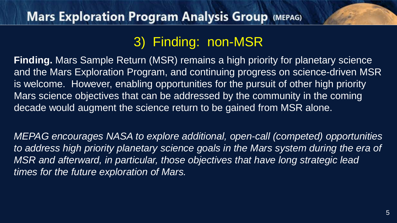## 3) Finding: non-MSR

**Finding.** Mars Sample Return (MSR) remains a high priority for planetary science and the Mars Exploration Program, and continuing progress on science-driven MSR is welcome. However, enabling opportunities for the pursuit of other high priority Mars science objectives that can be addressed by the community in the coming decade would augment the science return to be gained from MSR alone.

*MEPAG encourages NASA to explore additional, open-call (competed) opportunities to address high priority planetary science goals in the Mars system during the era of MSR and afterward, in particular, those objectives that have long strategic lead times for the future exploration of Mars.*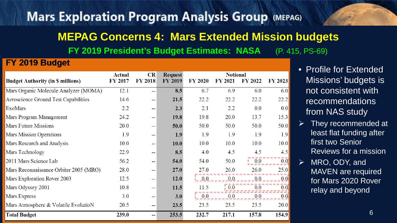# **Mars Exploration Program Analysis Group (MEPAG) MEPAG Concerns 4: Mars Extended Mission budgets FY 2019 President's Budget Estimates: NASA** (P. 415, PS-69)

#### FY 2019 Budget

|                                          | <b>Actual</b>  | <b>CR</b>      | <b>Request</b> | <b>Notional</b> |                  |                |                  |
|------------------------------------------|----------------|----------------|----------------|-----------------|------------------|----------------|------------------|
| <b>Budget Authority (in \$ millions)</b> | <b>FY 2017</b> | <b>FY 2018</b> | <b>FY 2019</b> | <b>FY 2020</b>  | <b>FY 2021</b>   | <b>FY 2022</b> | <b>FY 2023</b>   |
| Mars Organic Molecule Analyzer (MOMA)    | 12.1           | --             | 8.5            | 6.7             | 6.9              | 6.0            | 6.0              |
| Aeroscience Ground Test Capabilities     | 14.6           | $\overline{a}$ | <b>21.5</b>    | 22.2            | 22.2             | 22.2           | 22.2             |
| ExoMars                                  | 2.2            | --             | 2.3            | 2.1             | 2.2              | 0.0            | 0.0              |
| Mars Program Management                  | 24.2           | --             | <b>19.8</b>    | 19.8            | 20.0             | 13.7           | 15.3             |
| <b>Mars Future Missions</b>              | 20.0           | ш.             | 50.0           | 50.0            | 50.0             | 50.0           | 50.0             |
| Mars Mission Operations                  | 1.9            | --             | 1.9            | 1.9             | 1.9              | 1.9            | 1.9              |
| Mars Research and Analysis               | 10.0           | --             | <b>10.0</b>    | 10.0            | 10.0             | 10.0           | 10.0             |
| Mars Technology                          | 22.9           | --             | 8.5            | 4.0             | 4.5              | 4.5            | 4.5              |
| 2011 Mars Science Lab                    | 56.2           | --             | 54.0           | 54.0            | 50.0             | 0.0            | 0.0              |
| Mars Reconnaissance Orbiter 2005 (MRO)   | 28.0           | --             | <b>27.0</b>    | 27.0            | 26.0             | 26.0           | 25.0             |
| Mars Exploration Rover 2003              | 12.5           | 44             | <b>12.0</b>    | 0.0             | 0.0              | 0.0            | 0.0              |
| Mars Odyssey 2001                        | 10.8           | --             | 11.5           | 11.5            | $\overline{0.0}$ | 0.0            | $\overline{0.0}$ |
| Mars Express                             | 3.0            | $- -$          | 3.0            | 0.0             | 0.0              | 0.0            | 0.0              |
| Mars Atmosphere & Volatile EvolutioN     | 20.5           | $\sim$         | 23.5           | 23.5            | 23.5             | 23.5           | 20.0             |
| <b>Total Budget</b>                      | 239.0          | --             | 253.5          | 232.7           | 217.1            | 157.8          | 154.9            |

- Profile for Extended Missions' budgets is not consistent with recommendations from NAS study
- They recommended at least flat funding after first two Senior Reviews for a mission
- MRO, ODY, and MAVEN are required for Mars 2020 Rover relay and beyond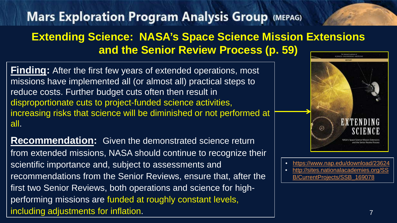#### **Extending Science: NASA's Space Science Mission Extensions and the Senior Review Process (p. 59)**

**Finding:** After the first few years of extended operations, most missions have implemented all (or almost all) practical steps to reduce costs. Further budget cuts often then result in disproportionate cuts to project-funded science activities, increasing risks that science will be diminished or not performed at all.

**Recommendation:** Given the demonstrated science return from extended missions, NASA should continue to recognize their scientific importance and, subject to assessments and recommendations from the Senior Reviews, ensure that, after the first two Senior Reviews, both operations and science for highperforming missions are funded at roughly constant levels, including adjustments for inflation.



- <https://www.nap.edu/download/23624>
- [http://sites.nationalacademies.org/SS](http://sites.nationalacademies.org/SSB/CurrentProjects/SSB_169078) B/CurrentProjects/SSB\_169078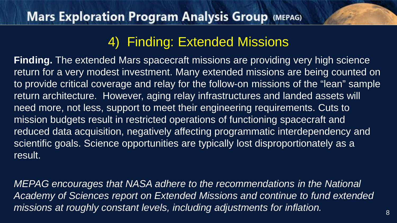## 4) Finding: Extended Missions

**Finding.** The extended Mars spacecraft missions are providing very high science return for a very modest investment. Many extended missions are being counted on to provide critical coverage and relay for the follow-on missions of the "lean" sample return architecture. However, aging relay infrastructures and landed assets will need more, not less, support to meet their engineering requirements. Cuts to mission budgets result in restricted operations of functioning spacecraft and reduced data acquisition, negatively affecting programmatic interdependency and scientific goals. Science opportunities are typically lost disproportionately as a result.

*MEPAG encourages that NASA adhere to the recommendations in the National Academy of Sciences report on Extended Missions and continue to fund extended missions at roughly constant levels, including adjustments for inflation.*  $\frac{8}{8}$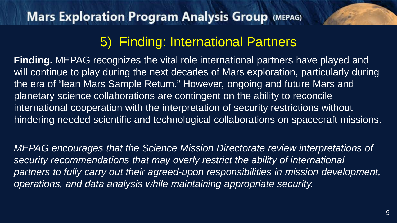## 5) Finding: International Partners

**Finding.** MEPAG recognizes the vital role international partners have played and will continue to play during the next decades of Mars exploration, particularly during the era of "lean Mars Sample Return." However, ongoing and future Mars and planetary science collaborations are contingent on the ability to reconcile international cooperation with the interpretation of security restrictions without hindering needed scientific and technological collaborations on spacecraft missions.

*MEPAG encourages that the Science Mission Directorate review interpretations of security recommendations that may overly restrict the ability of international partners to fully carry out their agreed-upon responsibilities in mission development, operations, and data analysis while maintaining appropriate security.*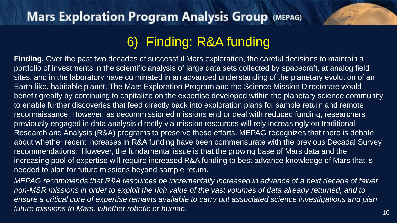# 6) Finding: R&A funding

**Finding.** Over the past two decades of successful Mars exploration, the careful decisions to maintain a portfolio of investments in the scientific analysis of large data sets collected by spacecraft, at analog field sites, and in the laboratory have culminated in an advanced understanding of the planetary evolution of an Earth-like, habitable planet. The Mars Exploration Program and the Science Mission Directorate would benefit greatly by continuing to capitalize on the expertise developed within the planetary science community to enable further discoveries that feed directly back into exploration plans for sample return and remote reconnaissance. However, as decommissioned missions end or deal with reduced funding, researchers previously engaged in data analysis directly via mission resources will rely increasingly on traditional Research and Analysis (R&A) programs to preserve these efforts. MEPAG recognizes that there is debate about whether recent increases in R&A funding have been commensurate with the previous Decadal Survey recommendations. However, the fundamental issue is that the growing base of Mars data and the increasing pool of expertise will require increased R&A funding to best advance knowledge of Mars that is needed to plan for future missions beyond sample return.

*MEPAG recommends that R&A resources be incrementally increased in advance of a next decade of fewer non-MSR missions in order to exploit the rich value of the vast volumes of data already returned, and to ensure a critical core of expertise remains available to carry out associated science investigations and plan future missions to Mars, whether robotic or human.* 10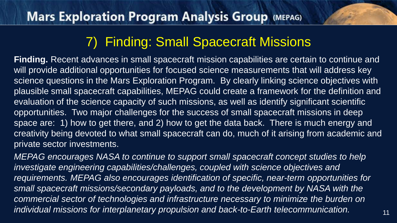## 7) Finding: Small Spacecraft Missions

**Finding.** Recent advances in small spacecraft mission capabilities are certain to continue and will provide additional opportunities for focused science measurements that will address key science questions in the Mars Exploration Program. By clearly linking science objectives with plausible small spacecraft capabilities, MEPAG could create a framework for the definition and evaluation of the science capacity of such missions, as well as identify significant scientific opportunities. Two major challenges for the success of small spacecraft missions in deep space are: 1) how to get there, and 2) how to get the data back. There is much energy and creativity being devoted to what small spacecraft can do, much of it arising from academic and private sector investments.

*MEPAG encourages NASA to continue to support small spacecraft concept studies to help investigate engineering capabilities/challenges, coupled with science objectives and requirements. MEPAG also encourages identification of specific, near-term opportunities for small spacecraft missions/secondary payloads, and to the development by NASA with the commercial sector of technologies and infrastructure necessary to minimize the burden on individual missions for interplanetary propulsion and back-to-Earth telecommunication.*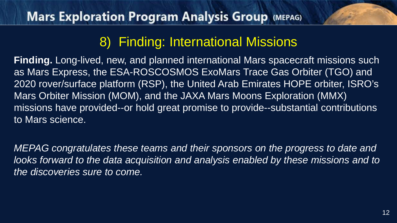## 8) Finding: International Missions

**Finding.** Long-lived, new, and planned international Mars spacecraft missions such as Mars Express, the ESA-ROSCOSMOS ExoMars Trace Gas Orbiter (TGO) and 2020 rover/surface platform (RSP), the United Arab Emirates HOPE orbiter, ISRO's Mars Orbiter Mission (MOM), and the JAXA Mars Moons Exploration (MMX) missions have provided--or hold great promise to provide--substantial contributions to Mars science.

*MEPAG congratulates these teams and their sponsors on the progress to date and looks forward to the data acquisition and analysis enabled by these missions and to the discoveries sure to come.*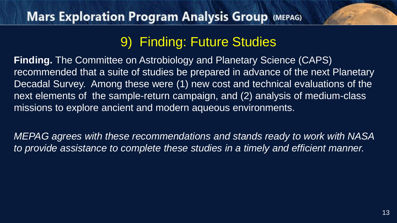## 9) Finding: Future Studies

**Finding.** The Committee on Astrobiology and Planetary Science (CAPS) recommended that a suite of studies be prepared in advance of the next Planetary Decadal Survey. Among these were (1) new cost and technical evaluations of the next elements of the sample-return campaign, and (2) analysis of medium-class missions to explore ancient and modern aqueous environments.

*MEPAG agrees with these recommendations and stands ready to work with NASA to provide assistance to complete these studies in a timely and efficient manner.*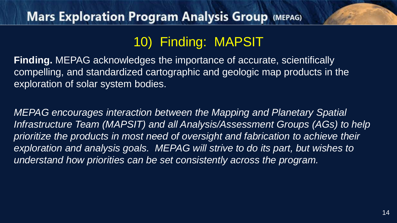## 10) Finding: MAPSIT

**Finding.** MEPAG acknowledges the importance of accurate, scientifically compelling, and standardized cartographic and geologic map products in the exploration of solar system bodies.

*MEPAG encourages interaction between the Mapping and Planetary Spatial Infrastructure Team (MAPSIT) and all Analysis/Assessment Groups (AGs) to help prioritize the products in most need of oversight and fabrication to achieve their exploration and analysis goals. MEPAG will strive to do its part, but wishes to understand how priorities can be set consistently across the program.*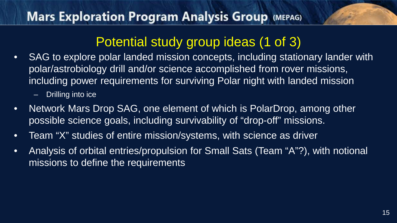## Potential study group ideas (1 of 3)

• SAG to explore polar landed mission concepts, including stationary lander with polar/astrobiology drill and/or science accomplished from rover missions, including power requirements for surviving Polar night with landed mission

– Drilling into ice

- Network Mars Drop SAG, one element of which is PolarDrop, among other possible science goals, including survivability of "drop-off" missions.
- Team "X" studies of entire mission/systems, with science as driver
- Analysis of orbital entries/propulsion for Small Sats (Team "A"?), with notional missions to define the requirements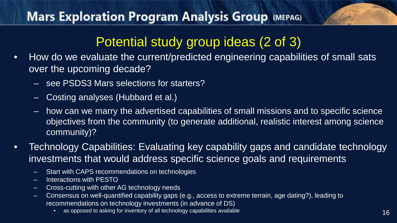# Potential study group ideas (2 of 3)

- How do we evaluate the current/predicted engineering capabilities of small sats over the upcoming decade?
	- see PSDS3 Mars selections for starters?
	- Costing analyses (Hubbard et al.)
	- how can we marry the advertised capabilities of small missions and to specific science objectives from the community (to generate additional, realistic interest among science community)?
- Technology Capabilities: Evaluating key capability gaps and candidate technology investments that would address specific science goals and requirements
	- Start with CAPS recommendations on technologies
	- Interactions with PESTO
	- Cross-cutting with other AG technology needs
	- Consensus on well-quantified capability gaps (e.g., access to extreme terrain, age dating?), leading to recommendations on technology investments (in advance of DS)
		- as opposed to asking for inventory of all technology capabilities available 16 and 16 and 16 and 16 and 16 and 16 and 16 and 16 and 16 and 16 and 16 and 16 and 16 and 16 and 16 and 16 and 16 and 16 and 16 and 16 and 16 and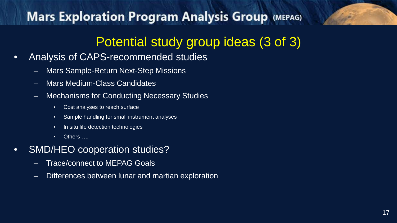# Potential study group ideas (3 of 3)

- Analysis of CAPS-recommended studies
	- Mars Sample-Return Next-Step Missions
	- Mars Medium-Class Candidates
	- Mechanisms for Conducting Necessary Studies
		- Cost analyses to reach surface
		- Sample handling for small instrument analyses
		- In situ life detection technologies
		- Others……
- SMD/HEO cooperation studies?
	- Trace/connect to MEPAG Goals
	- Differences between lunar and martian exploration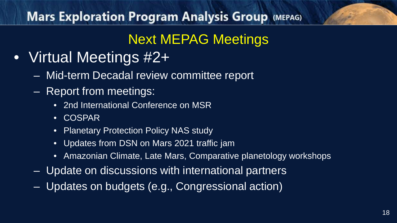# Next MEPAG Meetings

- Virtual Meetings #2+
	- Mid-term Decadal review committee report
	- Report from meetings:
		- 2nd International Conference on MSR
		- COSPAR
		- Planetary Protection Policy NAS study
		- Updates from DSN on Mars 2021 traffic jam
		- Amazonian Climate, Late Mars, Comparative planetology workshops
	- Update on discussions with international partners
	- Updates on budgets (e.g., Congressional action)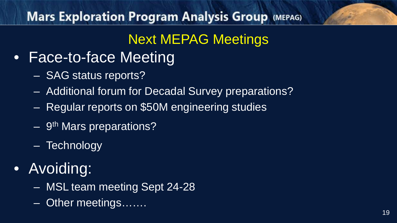# Next MEPAG Meetings

- Face-to-face Meeting
	- SAG status reports?
	- Additional forum for Decadal Survey preparations?
	- Regular reports on \$50M engineering studies
	- 9th Mars preparations?
	- Technology
- Avoiding:
	- MSL team meeting Sept 24-28
	- Other meetings…….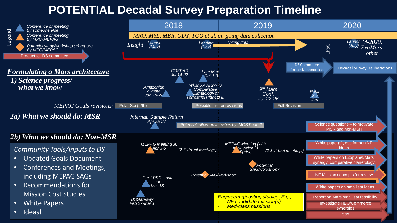#### **POTENTIAL Decadal Survey Preparation Timeline**